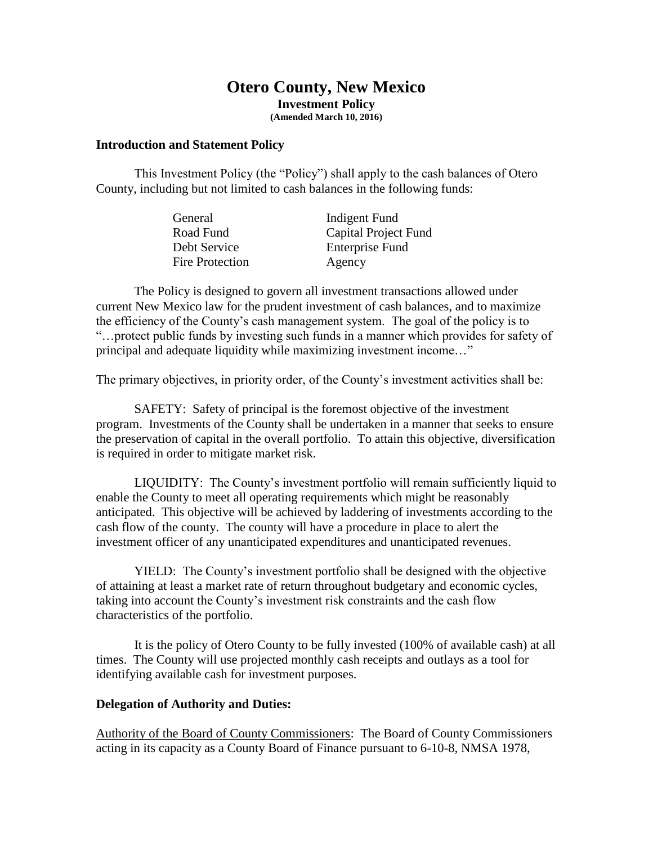# **Otero County, New Mexico Investment Policy (Amended March 10, 2016)**

### **Introduction and Statement Policy**

This Investment Policy (the "Policy") shall apply to the cash balances of Otero County, including but not limited to cash balances in the following funds:

| General                | Indigent Fund        |
|------------------------|----------------------|
| Road Fund              | Capital Project Fund |
| Debt Service           | Enterprise Fund      |
| <b>Fire Protection</b> | Agency               |

The Policy is designed to govern all investment transactions allowed under current New Mexico law for the prudent investment of cash balances, and to maximize the efficiency of the County's cash management system. The goal of the policy is to "…protect public funds by investing such funds in a manner which provides for safety of principal and adequate liquidity while maximizing investment income…"

The primary objectives, in priority order, of the County's investment activities shall be:

SAFETY: Safety of principal is the foremost objective of the investment program. Investments of the County shall be undertaken in a manner that seeks to ensure the preservation of capital in the overall portfolio. To attain this objective, diversification is required in order to mitigate market risk.

LIQUIDITY: The County's investment portfolio will remain sufficiently liquid to enable the County to meet all operating requirements which might be reasonably anticipated. This objective will be achieved by laddering of investments according to the cash flow of the county. The county will have a procedure in place to alert the investment officer of any unanticipated expenditures and unanticipated revenues.

YIELD: The County's investment portfolio shall be designed with the objective of attaining at least a market rate of return throughout budgetary and economic cycles, taking into account the County's investment risk constraints and the cash flow characteristics of the portfolio.

It is the policy of Otero County to be fully invested (100% of available cash) at all times. The County will use projected monthly cash receipts and outlays as a tool for identifying available cash for investment purposes.

## **Delegation of Authority and Duties:**

Authority of the Board of County Commissioners: The Board of County Commissioners acting in its capacity as a County Board of Finance pursuant to 6-10-8, NMSA 1978,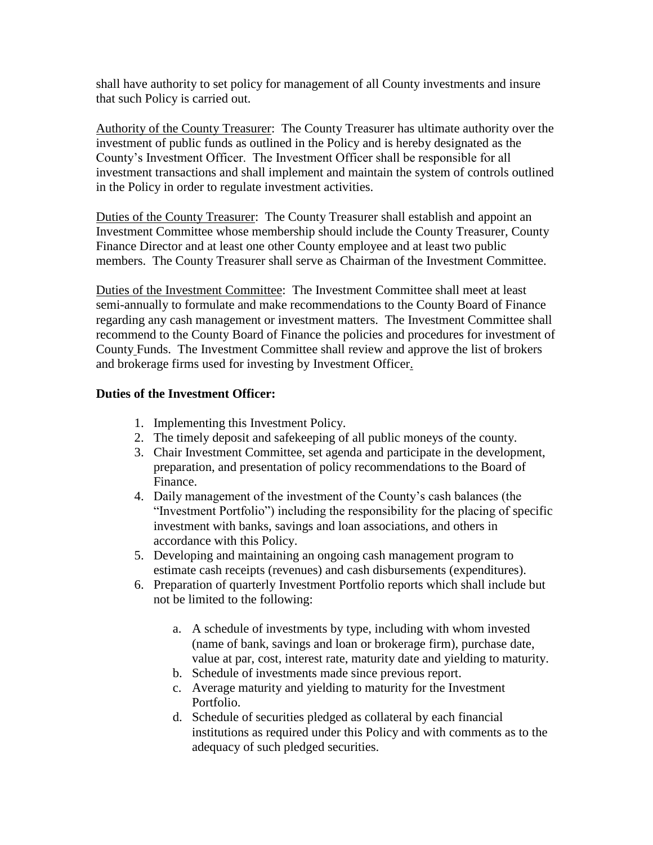shall have authority to set policy for management of all County investments and insure that such Policy is carried out.

Authority of the County Treasurer: The County Treasurer has ultimate authority over the investment of public funds as outlined in the Policy and is hereby designated as the County's Investment Officer. The Investment Officer shall be responsible for all investment transactions and shall implement and maintain the system of controls outlined in the Policy in order to regulate investment activities.

Duties of the County Treasurer: The County Treasurer shall establish and appoint an Investment Committee whose membership should include the County Treasurer, County Finance Director and at least one other County employee and at least two public members. The County Treasurer shall serve as Chairman of the Investment Committee.

Duties of the Investment Committee: The Investment Committee shall meet at least semi-annually to formulate and make recommendations to the County Board of Finance regarding any cash management or investment matters. The Investment Committee shall recommend to the County Board of Finance the policies and procedures for investment of County Funds. The Investment Committee shall review and approve the list of brokers and brokerage firms used for investing by Investment Officer.

# **Duties of the Investment Officer:**

- 1. Implementing this Investment Policy.
- 2. The timely deposit and safekeeping of all public moneys of the county.
- 3. Chair Investment Committee, set agenda and participate in the development, preparation, and presentation of policy recommendations to the Board of Finance.
- 4. Daily management of the investment of the County's cash balances (the "Investment Portfolio") including the responsibility for the placing of specific investment with banks, savings and loan associations, and others in accordance with this Policy.
- 5. Developing and maintaining an ongoing cash management program to estimate cash receipts (revenues) and cash disbursements (expenditures).
- 6. Preparation of quarterly Investment Portfolio reports which shall include but not be limited to the following:
	- a. A schedule of investments by type, including with whom invested (name of bank, savings and loan or brokerage firm), purchase date, value at par, cost, interest rate, maturity date and yielding to maturity.
	- b. Schedule of investments made since previous report.
	- c. Average maturity and yielding to maturity for the Investment Portfolio.
	- d. Schedule of securities pledged as collateral by each financial institutions as required under this Policy and with comments as to the adequacy of such pledged securities.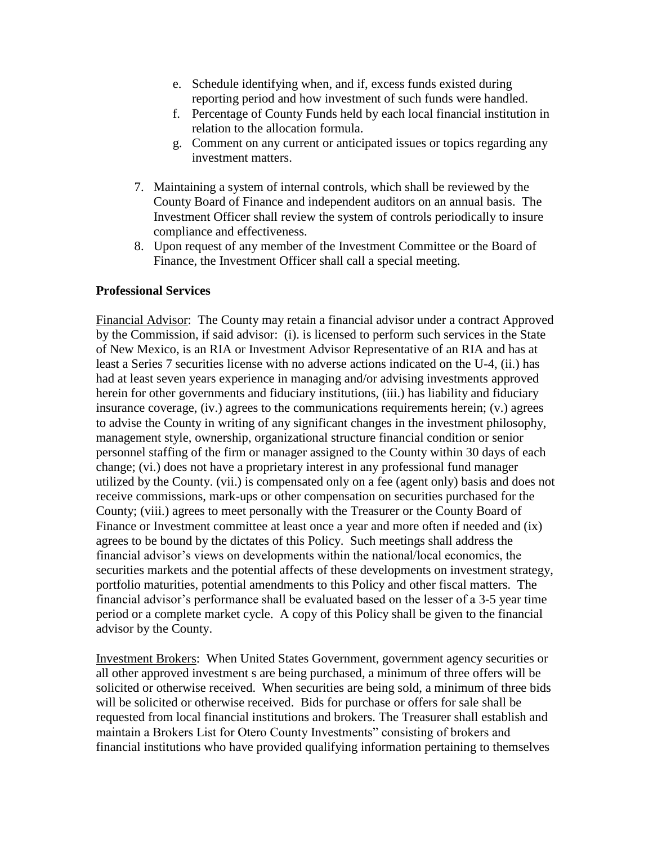- e. Schedule identifying when, and if, excess funds existed during reporting period and how investment of such funds were handled.
- f. Percentage of County Funds held by each local financial institution in relation to the allocation formula.
- g. Comment on any current or anticipated issues or topics regarding any investment matters.
- 7. Maintaining a system of internal controls, which shall be reviewed by the County Board of Finance and independent auditors on an annual basis. The Investment Officer shall review the system of controls periodically to insure compliance and effectiveness.
- 8. Upon request of any member of the Investment Committee or the Board of Finance, the Investment Officer shall call a special meeting.

# **Professional Services**

Financial Advisor: The County may retain a financial advisor under a contract Approved by the Commission, if said advisor: (i). is licensed to perform such services in the State of New Mexico, is an RIA or Investment Advisor Representative of an RIA and has at least a Series 7 securities license with no adverse actions indicated on the U-4, (ii.) has had at least seven years experience in managing and/or advising investments approved herein for other governments and fiduciary institutions, (iii.) has liability and fiduciary insurance coverage, (iv.) agrees to the communications requirements herein; (v.) agrees to advise the County in writing of any significant changes in the investment philosophy, management style, ownership, organizational structure financial condition or senior personnel staffing of the firm or manager assigned to the County within 30 days of each change; (vi.) does not have a proprietary interest in any professional fund manager utilized by the County. (vii.) is compensated only on a fee (agent only) basis and does not receive commissions, mark-ups or other compensation on securities purchased for the County; (viii.) agrees to meet personally with the Treasurer or the County Board of Finance or Investment committee at least once a year and more often if needed and (ix) agrees to be bound by the dictates of this Policy. Such meetings shall address the financial advisor's views on developments within the national/local economics, the securities markets and the potential affects of these developments on investment strategy, portfolio maturities, potential amendments to this Policy and other fiscal matters. The financial advisor's performance shall be evaluated based on the lesser of a 3-5 year time period or a complete market cycle. A copy of this Policy shall be given to the financial advisor by the County.

Investment Brokers: When United States Government, government agency securities or all other approved investment s are being purchased, a minimum of three offers will be solicited or otherwise received. When securities are being sold, a minimum of three bids will be solicited or otherwise received. Bids for purchase or offers for sale shall be requested from local financial institutions and brokers. The Treasurer shall establish and maintain a Brokers List for Otero County Investments" consisting of brokers and financial institutions who have provided qualifying information pertaining to themselves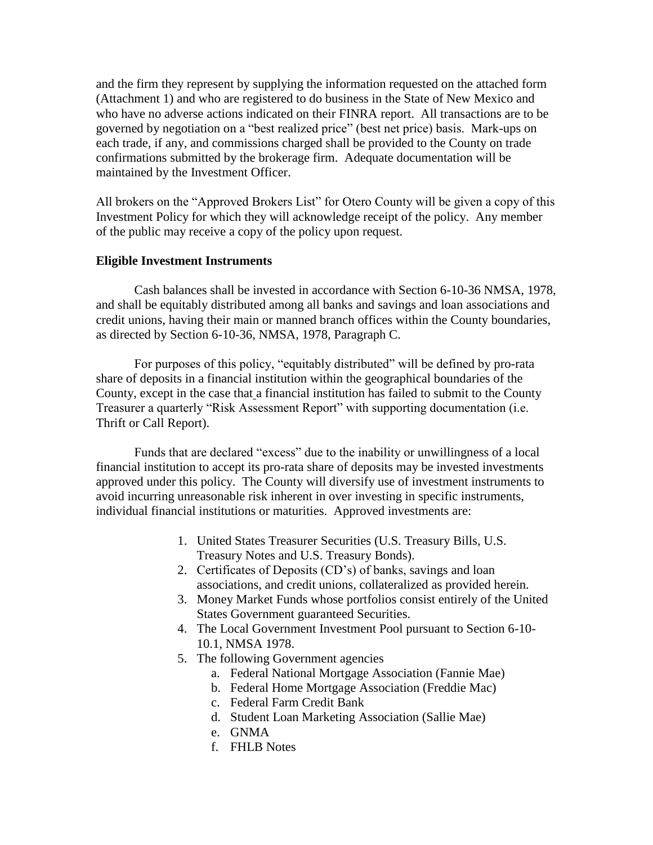and the firm they represent by supplying the information requested on the attached form (Attachment 1) and who are registered to do business in the State of New Mexico and who have no adverse actions indicated on their FINRA report. All transactions are to be governed by negotiation on a "best realized price" (best net price) basis. Mark-ups on each trade, if any, and commissions charged shall be provided to the County on trade confirmations submitted by the brokerage firm. Adequate documentation will be maintained by the Investment Officer.

All brokers on the "Approved Brokers List" for Otero County will be given a copy of this Investment Policy for which they will acknowledge receipt of the policy. Any member of the public may receive a copy of the policy upon request.

## **Eligible Investment Instruments**

Cash balances shall be invested in accordance with Section 6-10-36 NMSA, 1978, and shall be equitably distributed among all banks and savings and loan associations and credit unions, having their main or manned branch offices within the County boundaries, as directed by Section 6-10-36, NMSA, 1978, Paragraph C.

For purposes of this policy, "equitably distributed" will be defined by pro-rata share of deposits in a financial institution within the geographical boundaries of the County, except in the case that a financial institution has failed to submit to the County Treasurer a quarterly "Risk Assessment Report" with supporting documentation (i.e. Thrift or Call Report).

Funds that are declared "excess" due to the inability or unwillingness of a local financial institution to accept its pro-rata share of deposits may be invested investments approved under this policy. The County will diversify use of investment instruments to avoid incurring unreasonable risk inherent in over investing in specific instruments, individual financial institutions or maturities. Approved investments are:

- 1. United States Treasurer Securities (U.S. Treasury Bills, U.S. Treasury Notes and U.S. Treasury Bonds).
- 2. Certificates of Deposits (CD's) of banks, savings and loan associations, and credit unions, collateralized as provided herein.
- 3. Money Market Funds whose portfolios consist entirely of the United States Government guaranteed Securities.
- 4. The Local Government Investment Pool pursuant to Section 6-10- 10.1, NMSA 1978.
- 5. The following Government agencies
	- a. Federal National Mortgage Association (Fannie Mae)
	- b. Federal Home Mortgage Association (Freddie Mac)
	- c. Federal Farm Credit Bank
	- d. Student Loan Marketing Association (Sallie Mae)
	- e. GNMA
	- f. FHLB Notes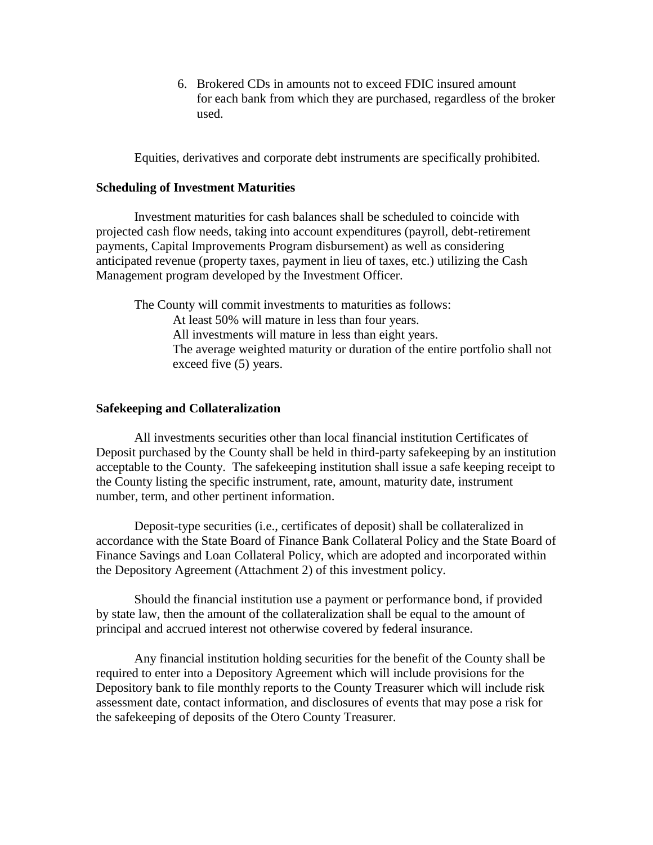6. Brokered CDs in amounts not to exceed FDIC insured amount for each bank from which they are purchased, regardless of the broker used.

Equities, derivatives and corporate debt instruments are specifically prohibited.

#### **Scheduling of Investment Maturities**

Investment maturities for cash balances shall be scheduled to coincide with projected cash flow needs, taking into account expenditures (payroll, debt-retirement payments, Capital Improvements Program disbursement) as well as considering anticipated revenue (property taxes, payment in lieu of taxes, etc.) utilizing the Cash Management program developed by the Investment Officer.

The County will commit investments to maturities as follows: At least 50% will mature in less than four years. All investments will mature in less than eight years. The average weighted maturity or duration of the entire portfolio shall not exceed five (5) years.

### **Safekeeping and Collateralization**

All investments securities other than local financial institution Certificates of Deposit purchased by the County shall be held in third-party safekeeping by an institution acceptable to the County. The safekeeping institution shall issue a safe keeping receipt to the County listing the specific instrument, rate, amount, maturity date, instrument number, term, and other pertinent information.

Deposit-type securities (i.e., certificates of deposit) shall be collateralized in accordance with the State Board of Finance Bank Collateral Policy and the State Board of Finance Savings and Loan Collateral Policy, which are adopted and incorporated within the Depository Agreement (Attachment 2) of this investment policy.

Should the financial institution use a payment or performance bond, if provided by state law, then the amount of the collateralization shall be equal to the amount of principal and accrued interest not otherwise covered by federal insurance.

Any financial institution holding securities for the benefit of the County shall be required to enter into a Depository Agreement which will include provisions for the Depository bank to file monthly reports to the County Treasurer which will include risk assessment date, contact information, and disclosures of events that may pose a risk for the safekeeping of deposits of the Otero County Treasurer.